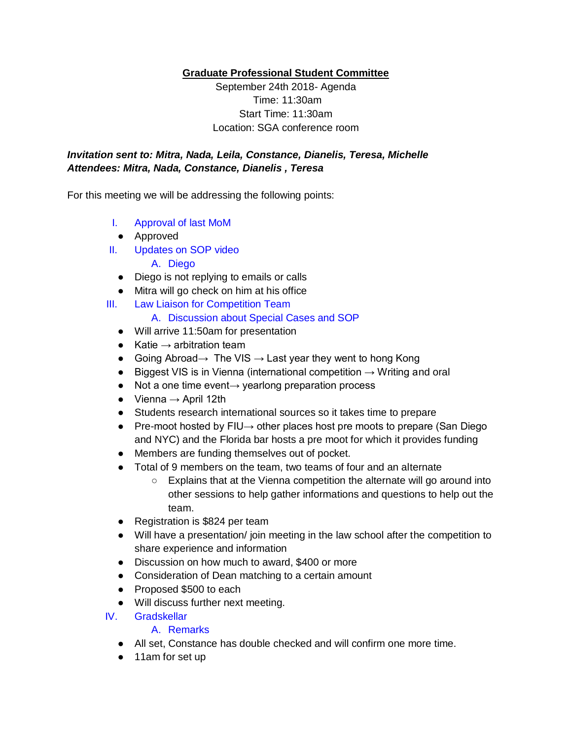**Graduate Professional Student Committee** 

September 24th 2018- Agenda Time: 11:30am Start Time: 11:30am Location: SGA conference room

## *Invitation sent to: Mitra, Nada, Leila, Constance, Dianelis, Teresa, Michelle Attendees: Mitra, Nada, Constance, Dianelis , Teresa*

For this meeting we will be addressing the following points:

- I. Approval of last MoM
- Approved
- II. Updates on SOP video
	- A. Diego
	- Diego is not replying to emails or calls
	- Mitra will go check on him at his office
- III. Law Liaison for Competition Team
	- A. Discussion about Special Cases and SOP
	- Will arrive 11:50am for presentation
	- $\bullet$  Katie  $\rightarrow$  arbitration team
	- $\bullet$  Going Abroad  $\rightarrow$  The VIS  $\rightarrow$  Last year they went to hong Kong
	- $\bullet$  Biggest VIS is in Vienna (international competition  $\rightarrow$  Writing and oral
	- Not a one time event→ yearlong preparation process
	- $\bullet$  Vienna  $\rightarrow$  April 12th
	- Students research international sources so it takes time to prepare
	- Pre-moot hosted by FIU→ other places host pre moots to prepare (San Diego and NYC) and the Florida bar hosts a pre moot for which it provides funding
	- Members are funding themselves out of pocket.
	- Total of 9 members on the team, two teams of four and an alternate
		- Explains that at the Vienna competition the alternate will go around into other sessions to help gather informations and questions to help out the team.
	- Registration is \$824 per team
	- Will have a presentation/ join meeting in the law school after the competition to share experience and information
	- Discussion on how much to award, \$400 or more
	- Consideration of Dean matching to a certain amount
	- Proposed \$500 to each
	- Will discuss further next meeting.
- IV. Gradskellar

## A. Remarks

- All set, Constance has double checked and will confirm one more time.
- 11am for set up